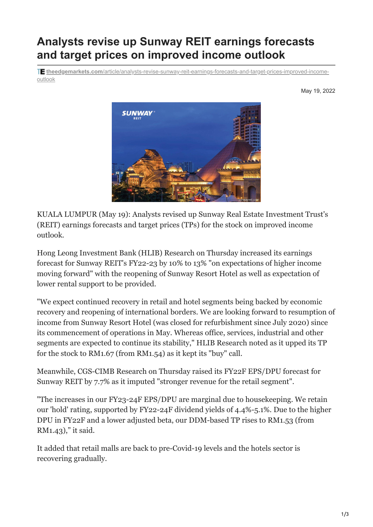## **Analysts revise up Sunway REIT earnings forecasts and target prices on improved income outlook**

**theedgemarkets.com**[/article/analysts-revise-sunway-reit-earnings-forecasts-and-target-prices-improved-income](https://www.theedgemarkets.com/article/analysts-revise-sunway-reit-earnings-forecasts-and-target-prices-improved-income-outlook)outlook

May 19, 2022



KUALA LUMPUR (May 19): Analysts revised up Sunway Real Estate Investment Trust's (REIT) earnings forecasts and target prices (TPs) for the stock on improved income outlook.

Hong Leong Investment Bank (HLIB) Research on Thursday increased its earnings forecast for Sunway REIT's FY22-23 by 10% to 13% "on expectations of higher income moving forward" with the reopening of Sunway Resort Hotel as well as expectation of lower rental support to be provided.

"We expect continued recovery in retail and hotel segments being backed by economic recovery and reopening of international borders. We are looking forward to resumption of income from Sunway Resort Hotel (was closed for refurbishment since July 2020) since its commencement of operations in May. Whereas office, services, industrial and other segments are expected to continue its stability," HLIB Research noted as it upped its TP for the stock to RM1.67 (from RM1.54) as it kept its "buy" call.

Meanwhile, CGS-CIMB Research on Thursday raised its FY22F EPS/DPU forecast for Sunway REIT by 7.7% as it imputed "stronger revenue for the retail segment".

"The increases in our FY23-24F EPS/DPU are marginal due to housekeeping. We retain our 'hold' rating, supported by FY22-24F dividend yields of 4.4%-5.1%. Due to the higher DPU in FY22F and a lower adjusted beta, our DDM-based TP rises to RM1.53 (from RM1.43)," it said.

It added that retail malls are back to pre-Covid-19 levels and the hotels sector is recovering gradually.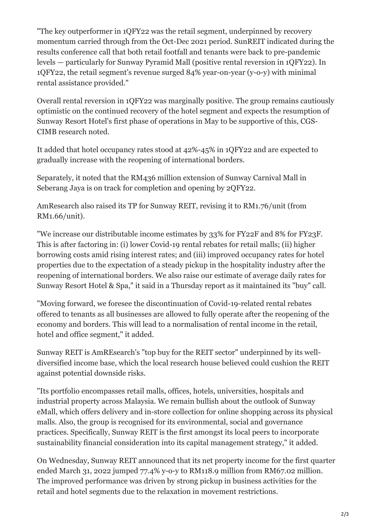"The key outperformer in 1QFY22 was the retail segment, underpinned by recovery momentum carried through from the Oct-Dec 2021 period. SunREIT indicated during the results conference call that both retail footfall and tenants were back to pre-pandemic levels — particularly for Sunway Pyramid Mall (positive rental reversion in 1QFY22). In 1QFY22, the retail segment's revenue surged 84% year-on-year (y-o-y) with minimal rental assistance provided."

Overall rental reversion in 1QFY22 was marginally positive. The group remains cautiously optimistic on the continued recovery of the hotel segment and expects the resumption of Sunway Resort Hotel's first phase of operations in May to be supportive of this, CGS-CIMB research noted.

It added that hotel occupancy rates stood at 42%-45% in 1QFY22 and are expected to gradually increase with the reopening of international borders.

Separately, it noted that the RM436 million extension of Sunway Carnival Mall in Seberang Jaya is on track for completion and opening by 2QFY22.

AmResearch also raised its TP for Sunway REIT, revising it to RM1.76/unit (from RM1.66/unit).

"We increase our distributable income estimates by 33% for FY22F and 8% for FY23F. This is after factoring in: (i) lower Covid-19 rental rebates for retail malls; (ii) higher borrowing costs amid rising interest rates; and (iii) improved occupancy rates for hotel properties due to the expectation of a steady pickup in the hospitality industry after the reopening of international borders. We also raise our estimate of average daily rates for Sunway Resort Hotel & Spa," it said in a Thursday report as it maintained its "buy" call.

"Moving forward, we foresee the discontinuation of Covid-19-related rental rebates offered to tenants as all businesses are allowed to fully operate after the reopening of the economy and borders. This will lead to a normalisation of rental income in the retail, hotel and office segment," it added.

Sunway REIT is AmREsearch's "top buy for the REIT sector" underpinned by its welldiversified income base, which the local research house believed could cushion the REIT against potential downside risks.

"Its portfolio encompasses retail malls, offices, hotels, universities, hospitals and industrial property across Malaysia. We remain bullish about the outlook of Sunway eMall, which offers delivery and in-store collection for online shopping across its physical malls. Also, the group is recognised for its environmental, social and governance practices. Specifically, Sunway REIT is the first amongst its local peers to incorporate sustainability financial consideration into its capital management strategy," it added.

On Wednesday, Sunway REIT announced that its net property income for the first quarter ended March 31, 2022 jumped 77.4% y-o-y to RM118.9 million from RM67.02 million. The improved performance was driven by strong pickup in business activities for the retail and hotel segments due to the relaxation in movement restrictions.